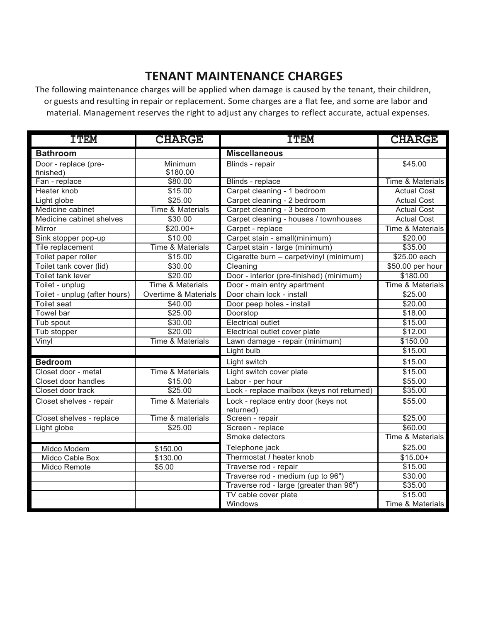## **TENANT MAINTENANCE CHARGES**

The following maintenance charges will be applied when damage is caused by the tenant, their children, or guests and resulting in repair or replacement. Some charges are a flat fee, and some are labor and material. Management reserves the right to adjust any charges to reflect accurate, actual expenses.

| <b>TTEM</b>                       | <b>CHARGE</b>                     | <b>TTEM</b>                                      | <b>CHARGE</b>               |
|-----------------------------------|-----------------------------------|--------------------------------------------------|-----------------------------|
| <b>Bathroom</b>                   |                                   | <b>Miscellaneous</b>                             |                             |
| Door - replace (pre-<br>finished) | Minimum<br>\$180.00               | Blinds - repair                                  | \$45.00                     |
| Fan - replace                     | \$80.00                           | Blinds - replace                                 | <b>Time &amp; Materials</b> |
| Heater knob                       | \$15.00                           | Carpet cleaning - 1 bedroom                      | <b>Actual Cost</b>          |
| Light globe                       | \$25.00                           | Carpet cleaning - 2 bedroom                      | <b>Actual Cost</b>          |
| Medicine cabinet                  | <b>Time &amp; Materials</b>       | Carpet cleaning - 3 bedroom                      | <b>Actual Cost</b>          |
| Medicine cabinet shelves          | \$30.00                           | Carpet cleaning - houses / townhouses            | <b>Actual Cost</b>          |
| Mirror                            | $$20.00+$                         | Carpet - replace                                 | <b>Time &amp; Materials</b> |
| Sink stopper pop-up               | \$10.00                           | Carpet stain - small(minimum)                    | \$20.00                     |
| Tile replacement                  | <b>Time &amp; Materials</b>       | Carpet stain - large (minimum)                   | \$35.00                     |
| Toilet paper roller               | \$15.00                           | Cigarette burn - carpet/vinyl (minimum)          | \$25.00 each                |
| Toilet tank cover (lid)           | \$30.00                           | Cleaning                                         | \$50.00 per hour            |
| Toilet tank lever                 | \$20.00                           | Door - interior (pre-finished) (minimum)         | \$180.00                    |
| Toilet - unplug                   | <b>Time &amp; Materials</b>       | Door - main entry apartment                      | <b>Time &amp; Materials</b> |
| Toilet - unplug (after hours)     | <b>Overtime &amp; Materials</b>   | Door chain lock - install                        | \$25.00                     |
| <b>Toilet seat</b>                | \$40.00                           | Door peep holes - install                        | \$20.00                     |
| Towel bar                         | \$25.00                           | Doorstop                                         | \$18.00                     |
| Tub spout                         | \$30.00                           | <b>Electrical outlet</b>                         | \$15.00                     |
| Tub stopper                       | \$20.00                           | Electrical outlet cover plate                    | \$12.00                     |
| Vinyl                             | <b>Time &amp; Materials</b>       | Lawn damage - repair (minimum)                   | \$150.00                    |
|                                   |                                   | Light bulb                                       | \$15.00                     |
| <b>Bedroom</b>                    |                                   | Light switch                                     | \$15.00                     |
| Closet door - metal               | Time & Materials                  | Light switch cover plate                         | \$15.00                     |
| Closet door handles               | \$15.00                           | Labor - per hour                                 | \$55.00                     |
| Closet door track                 | \$25.00                           | Lock - replace mailbox (keys not returned)       | \$35.00                     |
| Closet shelves - repair           | Time & Materials                  | Lock - replace entry door (keys not<br>returned) | \$55.00                     |
| Closet shelves - replace          | Time & materials                  | Screen - repair                                  | \$25.00                     |
| Light globe                       | \$25.00                           | Screen - replace                                 | \$60.00                     |
|                                   |                                   | Smoke detectors                                  | Time & Materials            |
| Midco Modem                       | \$150.00                          | Telephone jack                                   | \$25.00                     |
| Midco Cable Box                   | \$130.00                          | Thermostat / heater knob                         | $$15.00+$                   |
| Midco Remote                      | \$5.00                            | Traverse rod - repair                            | \$15.00                     |
|                                   | Traverse rod - medium (up to 96") |                                                  | \$30.00                     |
|                                   |                                   | Traverse rod - large (greater than 96")          | \$35.00                     |
|                                   |                                   | TV cable cover plate                             | \$15.00                     |
|                                   |                                   | Windows                                          | <b>Time &amp; Materials</b> |